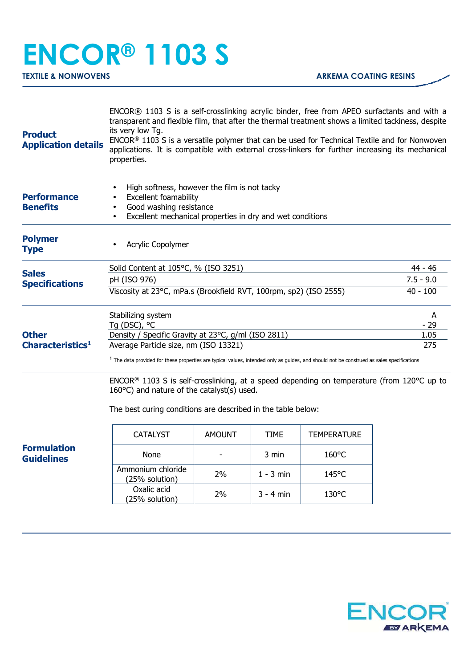## **ENCOR® 1103 S**

| <b>Product</b><br><b>Application details</b>                                                                                     | ENCOR® 1103 S is a self-crosslinking acrylic binder, free from APEO surfactants and with a<br>transparent and flexible film, that after the thermal treatment shows a limited tackiness, despite<br>its very low Tg.<br>ENCOR® 1103 S is a versatile polymer that can be used for Technical Textile and for Nonwoven<br>applications. It is compatible with external cross-linkers for further increasing its mechanical<br>properties. |               |             |                    |            |  |
|----------------------------------------------------------------------------------------------------------------------------------|-----------------------------------------------------------------------------------------------------------------------------------------------------------------------------------------------------------------------------------------------------------------------------------------------------------------------------------------------------------------------------------------------------------------------------------------|---------------|-------------|--------------------|------------|--|
| <b>Performance</b><br><b>Benefits</b>                                                                                            | High softness, however the film is not tacky<br>Excellent foamability<br>Good washing resistance<br>Excellent mechanical properties in dry and wet conditions                                                                                                                                                                                                                                                                           |               |             |                    |            |  |
| <b>Polymer</b><br><b>Type</b>                                                                                                    | Acrylic Copolymer                                                                                                                                                                                                                                                                                                                                                                                                                       |               |             |                    |            |  |
| <b>Sales</b><br><b>Specifications</b><br><b>Other</b><br>Characteristics <sup>1</sup><br><b>Formulation</b><br><b>Guidelines</b> | Solid Content at 105°C, % (ISO 3251)                                                                                                                                                                                                                                                                                                                                                                                                    |               |             |                    | 44 - 46    |  |
|                                                                                                                                  | pH (ISO 976)                                                                                                                                                                                                                                                                                                                                                                                                                            | $7.5 - 9.0$   |             |                    |            |  |
|                                                                                                                                  | Viscosity at 23°C, mPa.s (Brookfield RVT, 100rpm, sp2) (ISO 2555)<br>$40 - 100$                                                                                                                                                                                                                                                                                                                                                         |               |             |                    |            |  |
|                                                                                                                                  | Stabilizing system<br>Tg (DSC), °C                                                                                                                                                                                                                                                                                                                                                                                                      |               |             |                    | A<br>$-29$ |  |
|                                                                                                                                  | Density / Specific Gravity at 23°C, g/ml (ISO 2811)                                                                                                                                                                                                                                                                                                                                                                                     | 1.05          |             |                    |            |  |
|                                                                                                                                  | Average Particle size, nm (ISO 13321)                                                                                                                                                                                                                                                                                                                                                                                                   | 275           |             |                    |            |  |
|                                                                                                                                  | $1$ The data provided for these properties are typical values, intended only as guides, and should not be construed as sales specifications                                                                                                                                                                                                                                                                                             |               |             |                    |            |  |
|                                                                                                                                  | ENCOR <sup>®</sup> 1103 S is self-crosslinking, at a speed depending on temperature (from 120 $^{\circ}$ C up to<br>160°C) and nature of the catalyst(s) used.<br>The best curing conditions are described in the table below:                                                                                                                                                                                                          |               |             |                    |            |  |
|                                                                                                                                  | <b>CATALYST</b>                                                                                                                                                                                                                                                                                                                                                                                                                         | <b>AMOUNT</b> | TIME        | <b>TEMPERATURE</b> |            |  |
|                                                                                                                                  | None                                                                                                                                                                                                                                                                                                                                                                                                                                    |               | 3 min       | 160°C              |            |  |
|                                                                                                                                  | Ammonium chloride<br>(25% solution)                                                                                                                                                                                                                                                                                                                                                                                                     | <b>2%</b>     | $1 - 3$ min | 145°C              |            |  |
|                                                                                                                                  | Oxalic acid<br>(25% solution)                                                                                                                                                                                                                                                                                                                                                                                                           | 2%            | 3 - 4 min   | 130°C              |            |  |